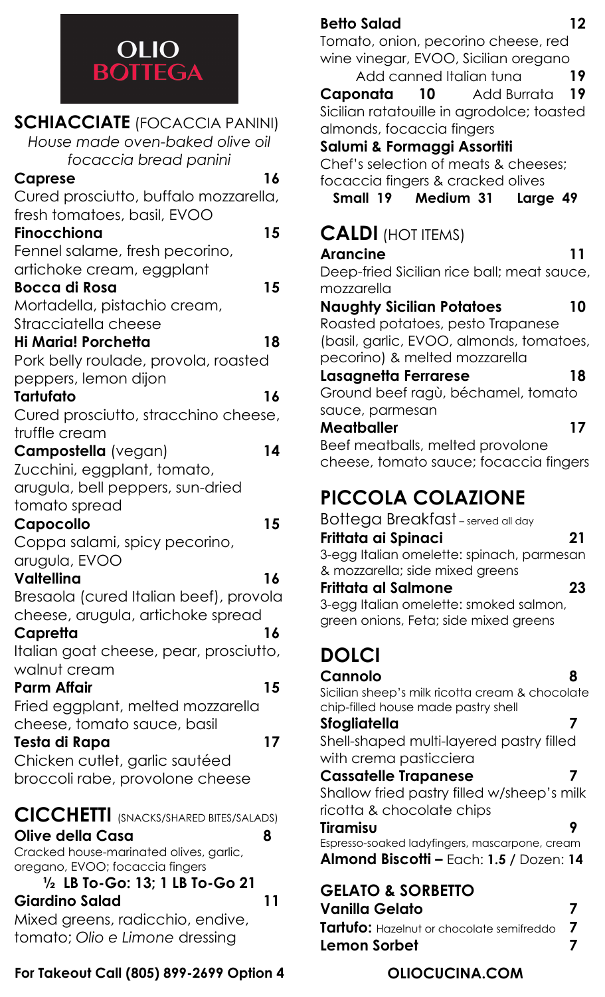

#### **BOTTEGA<br>
SCHIACCIATE** (FOCACCIA PANINI) *House made oven-baked olive oil focaccia bread panini* **Caprese 16** Cured prosciutto, buffalo mozzarella, fresh tomatoes, basil, EVOO **Finocchiona 15** Fennel salame, fresh pecorino, artichoke cream, eggplant **Bocca di Rosa 15** Mortadella, pistachio cream, Stracciatella cheese **Hi Maria! Porchetta 18** Pork belly roulade, provola, roasted peppers, lemon dijon **Tartufato 16** Cured prosciutto, stracchino cheese, truffle cream **Campostella** (vegan) **14** Zucchini, eggplant, tomato, arugula, bell peppers, sun-dried tomato spread **Capocollo 15** Coppa salami, spicy pecorino, arugula, EVOO **Valtellina 16** Bresaola (cured Italian beef), provola cheese, arugula, artichoke spread **Capretta 16** Italian goat cheese, pear, prosciutto, walnut cream **Parm Affair 15** Fried eggplant, melted mozzarella cheese, tomato sauce, basil **Testa di Rapa 17** Chicken cutlet, garlic sautéed broccoli rabe, provolone cheese **CICCHETTI** (SNACKS/SHARED BITES/SALADS) **Olive della Casa 8** Cracked house-marinated olives, garlic, oregano, EVOO; focaccia fingers **½ LB To-Go: 13; 1 LB To-Go 21**

**Giardino Salad 11** Mixed greens, radicchio, endive,

tomato; *Olio e Limone* dressing

**For Takeout Call (805) 899-2699 Option 4**

#### **Betto Salad 12**

Tomato, onion, pecorino cheese, red wine vinegar, EVOO, Sicilian oregano

Add canned Italian tuna **19 Caponata 10** Add Burrata **19** Sicilian ratatouille in agrodolce; toasted almonds, focaccia fingers

#### **Salumi & Formaggi Assortiti**

Chef's selection of meats & cheeses; focaccia fingers & cracked olives

**Small 19 Medium 31 Large 49**

# **CALDI** (HOT ITEMS)

| Arancine                                   |    |
|--------------------------------------------|----|
| Deep-fried Sicilian rice ball; meat sauce, |    |
| mozzarella                                 |    |
| <b>Naughty Sicilian Potatoes</b>           | 10 |
| Roasted potatoes, pesto Trapanese          |    |
| (basil, garlic, EVOO, almonds, tomatoes,   |    |
| pecorino) & melted mozzarella              |    |
| Lasagnetta Ferrarese                       | 18 |
| Ground beef ragù, béchamel, tomato         |    |
| sauce, parmesan                            |    |
|                                            |    |
| Meatballer                                 | 17 |
| Beef meatballs, melted provolone           |    |
| cheese, tomato sauce; focaccia fingers     |    |

# **PICCOLA COLAZIONE**

Bottega Breakfast – served all day **Frittata ai Spinaci 21** 3-egg Italian omelette: spinach, parmesan & mozzarella; side mixed greens **Frittata al Salmone 23** 3-egg Italian omelette: smoked salmon, green onions, Feta; side mixed greens

# **DOLCI**

**Cannolo 8** Sicilian sheep's milk ricotta cream & chocolate chip-filled house made pastry shell

#### **Sfogliatella 7**

Shell-shaped multi-layered pastry filled with crema pasticciera

#### **Cassatelle Trapanese 7**

Shallow fried pastry filled w/sheep's milk ricotta & chocolate chips

#### **Tiramisu 9**

Espresso-soaked ladyfingers, mascarpone, cream **Almond Biscotti –** Each: **1.5 /** Dozen: **14**

# **GELATO & SORBETTO**

**Vanilla Gelato 7 Tartufo:** Hazelnut or chocolate semifreddo **7 Lemon Sorbet 7** 7

### **OLIOCUCINA.COM**